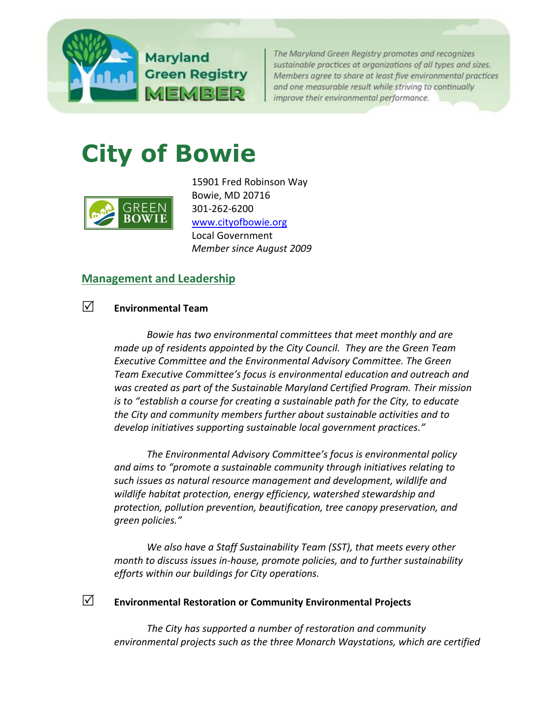

**Green Registry** MEMBER

The Maryland Green Registry promotes and recognizes sustainable practices at organizations of all types and sizes. Members agree to share at least five environmental practices and one measurable result while striving to continually improve their environmental performance.

# **City of Bowie**



15901 Fred Robinson Way Bowie, MD 20716 301-262-6200 [www.cityofbowie.org](http://www.cityofbowie.org/) Local Government *Member since August 2009*

# **[Management and Leadership](http://www.green.maryland.gov/registry/management.html)**

# **Environmental Team**

*Bowie has two environmental committees that meet monthly and are made up of residents appointed by the City Council. They are the Green Team Executive Committee and the Environmental Advisory Committee. The Green Team Executive Committee's focus is environmental education and outreach and was created as part of the Sustainable Maryland Certified Program. Their mission is to "establish a course for creating a sustainable path for the City, to educate the City and community members further about sustainable activities and to develop initiatives supporting sustainable local government practices."*

*The Environmental Advisory Committee's focus is environmental policy and aims to "promote a sustainable community through initiatives relating to such issues as natural resource management and development, wildlife and wildlife habitat protection, energy efficiency, watershed stewardship and protection, pollution prevention, beautification, tree canopy preservation, and green policies."*

*We also have a Staff Sustainability Team (SST), that meets every other month to discuss issues in-house, promote policies, and to further sustainability efforts within our buildings for City operations.* 

# **Environmental Restoration or Community Environmental Projects**

*The City has supported a number of restoration and community environmental projects such as the three Monarch Waystations, which are certified*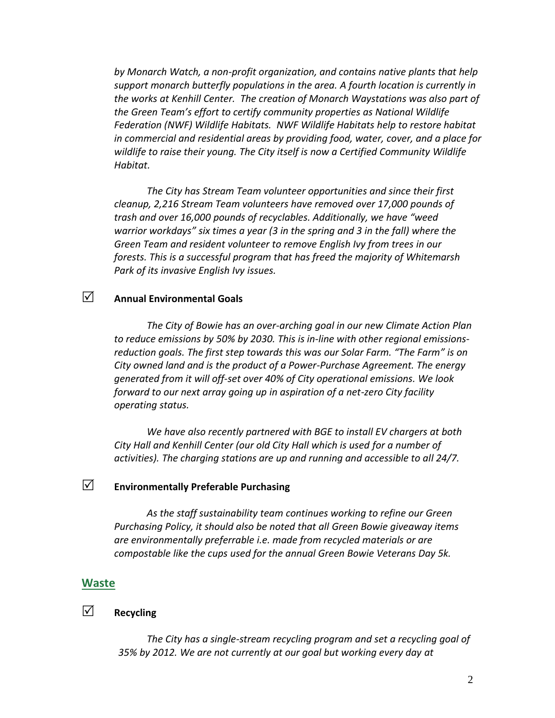*by Monarch Watch, a non-profit organization, and contains native plants that help support monarch butterfly populations in the area. A fourth location is currently in the works at Kenhill Center. The creation of Monarch Waystations was also part of the Green Team's effort to certify community properties as National Wildlife Federation (NWF) Wildlife Habitats. NWF Wildlife Habitats help to restore habitat in commercial and residential areas by providing food, water, cover, and a place for wildlife to raise their young. The City itself is now a Certified Community Wildlife Habitat.*

*The City has Stream Team volunteer opportunities and since their first cleanup, 2,216 Stream Team volunteers have removed over 17,000 pounds of trash and over 16,000 pounds of recyclables. Additionally, we have "weed warrior workdays" six times a year (3 in the spring and 3 in the fall) where the Green Team and resident volunteer to remove English Ivy from trees in our forests. This is a successful program that has freed the majority of Whitemarsh Park of its invasive English Ivy issues.*

# **Annual Environmental Goals**

*The City of Bowie has an over-arching goal in our new Climate Action Plan to reduce emissions by 50% by 2030. This is in-line with other regional emissionsreduction goals. The first step towards this was our Solar Farm. "The Farm" is on City owned land and is the product of a Power-Purchase Agreement. The energy generated from it will off-set over 40% of City operational emissions. We look forward to our next array going up in aspiration of a net-zero City facility operating status.* 

*We have also recently partnered with BGE to install EV chargers at both City Hall and Kenhill Center (our old City Hall which is used for a number of activities). The charging stations are up and running and accessible to all 24/7.* 

## **Environmentally Preferable Purchasing**

*As the staff sustainability team continues working to refine our Green Purchasing Policy, it should also be noted that all Green Bowie giveaway items are environmentally preferrable i.e. made from recycled materials or are compostable like the cups used for the annual Green Bowie Veterans Day 5k.* 

#### **[Waste](http://www.green.maryland.gov/registry/waste.html)**

# **Recycling**

*The City has a single-stream recycling program and set a recycling goal of 35% by 2012. We are not currently at our goal but working every day at*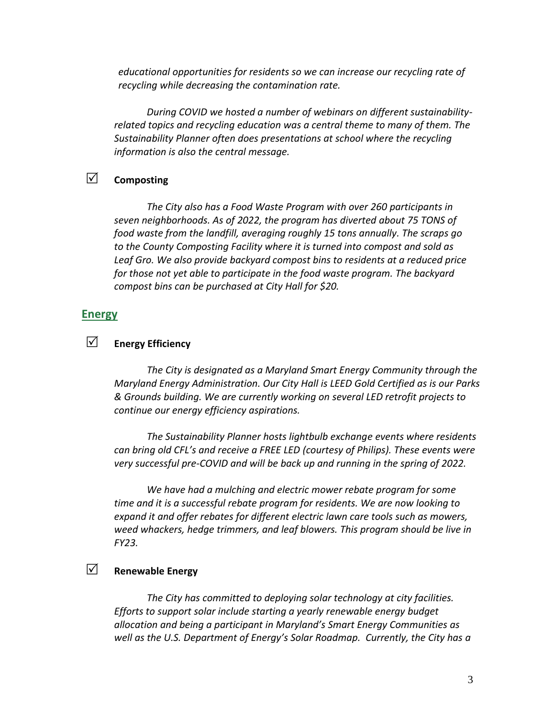*educational opportunities for residents so we can increase our recycling rate of recycling while decreasing the contamination rate.*

*During COVID we hosted a number of webinars on different sustainabilityrelated topics and recycling education was a central theme to many of them. The Sustainability Planner often does presentations at school where the recycling information is also the central message.*

# **Composting**

*The City also has a Food Waste Program with over 260 participants in seven neighborhoods. As of 2022, the program has diverted about 75 TONS of food waste from the landfill, averaging roughly 15 tons annually. The scraps go to the County Composting Facility where it is turned into compost and sold as Leaf Gro. We also provide backyard compost bins to residents at a reduced price for those not yet able to participate in the food waste program. The backyard compost bins can be purchased at City Hall for \$20.* 

#### **[Energy](http://www.mde.state.md.us/marylandgreen/Pages/Energy.aspx)**

# **Energy Efficiency**

*The City is designated as a Maryland Smart Energy Community through the Maryland Energy Administration. Our City Hall is LEED Gold Certified as is our Parks & Grounds building. We are currently working on several LED retrofit projects to continue our energy efficiency aspirations.* 

*The Sustainability Planner hosts lightbulb exchange events where residents can bring old CFL's and receive a FREE LED (courtesy of Philips). These events were very successful pre-COVID and will be back up and running in the spring of 2022.* 

*We have had a mulching and electric mower rebate program for some time and it is a successful rebate program for residents. We are now looking to expand it and offer rebates for different electric lawn care tools such as mowers, weed whackers, hedge trimmers, and leaf blowers. This program should be live in FY23.* 

# **Renewable Energy**

*The City has committed to deploying solar technology at city facilities. Efforts to support solar include starting a yearly renewable energy budget allocation and being a participant in Maryland's Smart Energy Communities as well as the U.S. Department of Energy's Solar Roadmap. Currently, the City has a*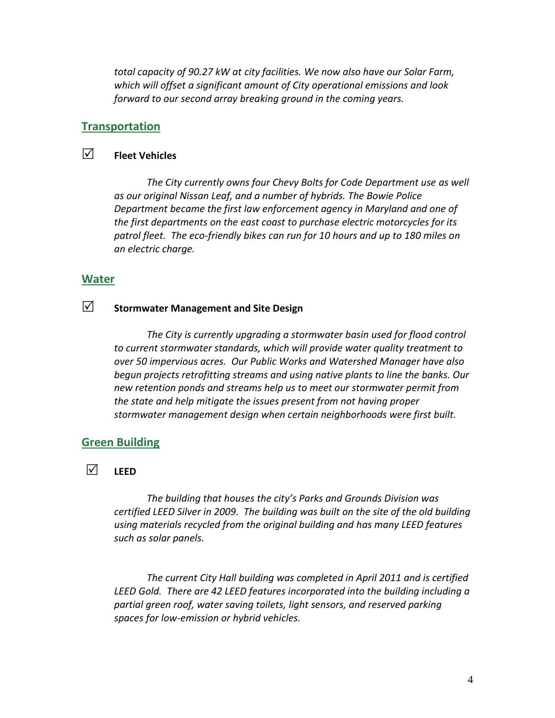*total capacity of 90.27 kW at city facilities. We now also have our Solar Farm, which will offset a significant amount of City operational emissions and look forward to our second array breaking ground in the coming years.* 

#### **[Transportation](http://www.green.maryland.gov/registry/trans.html)**

# **Fleet Vehicles**

*The City currently owns four Chevy Bolts for Code Department use as well as our original Nissan Leaf, and a number of hybrids. The Bowie Police Department became the first law enforcement agency in Maryland and one of the first departments on the east coast to purchase electric motorcycles for its patrol fleet. The eco-friendly bikes can run for 10 hours and up to 180 miles on an electric charge.*

#### **[Water](http://www.green.maryland.gov/registry/water.html)**

# **Stormwater Management and Site Design**

*The City is currently upgrading a stormwater basin used for flood control to current stormwater standards, which will provide water quality treatment to over 50 impervious acres. Our Public Works and Watershed Manager have also begun projects retrofitting streams and using native plants to line the banks. Our new retention ponds and streams help us to meet our stormwater permit from the state and help mitigate the issues present from not having proper stormwater management design when certain neighborhoods were first built.* 

# **[Green Building](http://www.green.maryland.gov/registry/iq.html)**

 $\nabla$ <sup>*l*</sup> LEED</sub>

*The building that houses the city's Parks and Grounds Division was certified LEED Silver in 2009. The building was built on the site of the old building using materials recycled from the original building and has many LEED features such as solar panels.* 

*The current City Hall building was completed in April 2011 and is certified LEED Gold. There are 42 LEED features incorporated into the building including a partial green roof, water saving toilets, light sensors, and reserved parking spaces for low-emission or hybrid vehicles.*